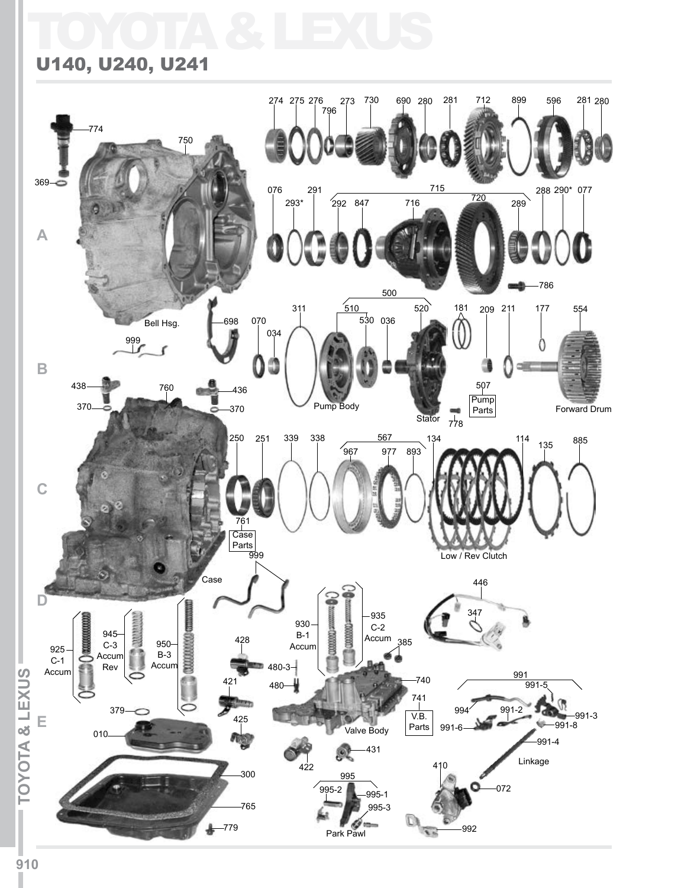## TOYOTA & LEXUS

## U140, U240, U241